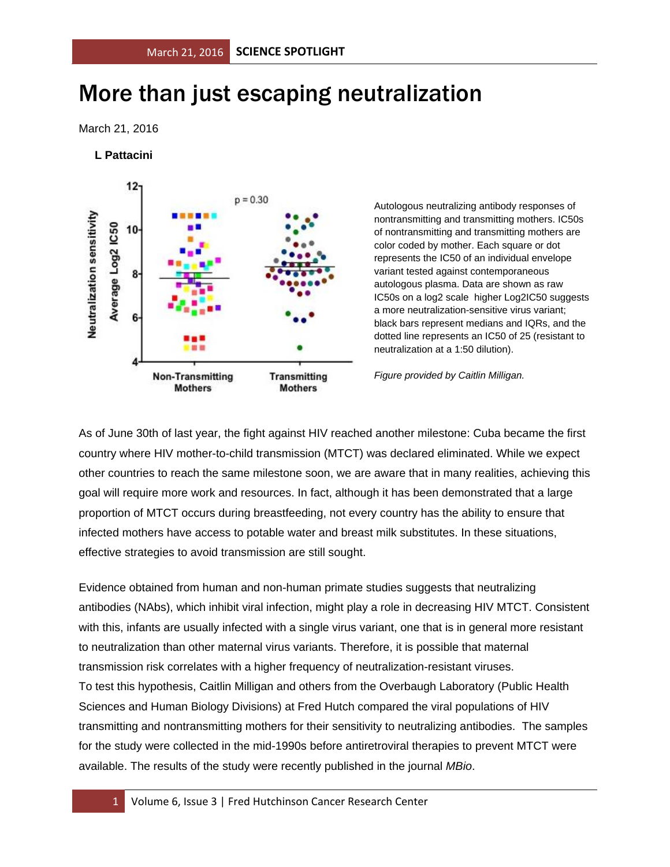## More than just escaping neutralization

March 21, 2016

## **L Pattacini**



Autologous neutralizing antibody responses of nontransmitting and transmitting mothers. IC50s of nontransmitting and transmitting mothers are color coded by mother. Each square or dot represents the IC50 of an individual envelope variant tested against contemporaneous autologous plasma. Data are shown as raw IC50s on a log2 scale higher Log2IC50 suggests a more neutralization-sensitive virus variant; black bars represent medians and IQRs, and the dotted line represents an IC50 of 25 (resistant to neutralization at a 1:50 dilution).

*Figure provided by Caitlin Milligan.*

As of June 30th of last year, the fight against HIV reached another milestone: Cuba became the first country where HIV mother-to-child transmission (MTCT) was declared eliminated. While we expect other countries to reach the same milestone soon, we are aware that in many realities, achieving this goal will require more work and resources. In fact, although it has been demonstrated that a large proportion of MTCT occurs during breastfeeding, not every country has the ability to ensure that infected mothers have access to potable water and breast milk substitutes. In these situations, effective strategies to avoid transmission are still sought.

Evidence obtained from human and non-human primate studies suggests that neutralizing antibodies (NAbs), which inhibit viral infection, might play a role in decreasing HIV MTCT. Consistent with this, infants are usually infected with a single virus variant, one that is in general more resistant to neutralization than other maternal virus variants. Therefore, it is possible that maternal transmission risk correlates with a higher frequency of neutralization-resistant viruses. To test this hypothesis, Caitlin Milligan and others from the Overbaugh Laboratory (Public Health Sciences and Human Biology Divisions) at Fred Hutch compared the viral populations of HIV transmitting and nontransmitting mothers for their sensitivity to neutralizing antibodies. The samples for the study were collected in the mid-1990s before antiretroviral therapies to prevent MTCT were available. The results of the study were recently published in the journal *MBio*.